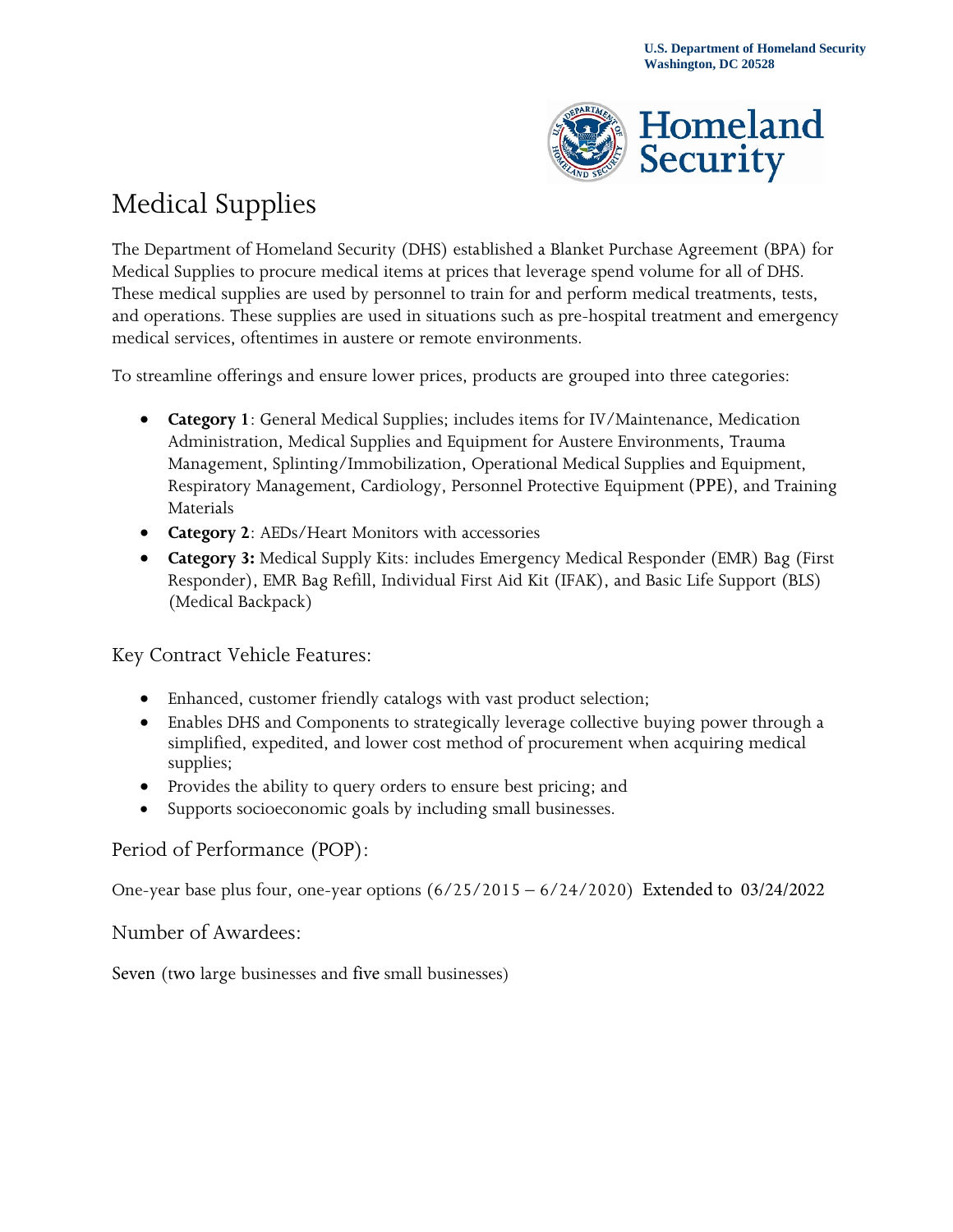

## Medical Supplies

The Department of Homeland Security (DHS) established a Blanket Purchase Agreement (BPA) for Medical Supplies to procure medical items at prices that leverage spend volume for all of DHS. These medical supplies are used by personnel to train for and perform medical treatments, tests, and operations. These supplies are used in situations such as pre-hospital treatment and emergency medical services, oftentimes in austere or remote environments.

To streamline offerings and ensure lower prices, products are grouped into three categories:

- **Category 1**: General Medical Supplies; includes items for IV/Maintenance, Medication Administration, Medical Supplies and Equipment for Austere Environments, Trauma Management, Splinting/Immobilization, Operational Medical Supplies and Equipment, Respiratory Management, Cardiology, Personnel Protective Equipment (PPE), and Training Materials
- **Category 2**: AEDs/Heart Monitors with accessories
- **Category 3:** Medical Supply Kits: includes Emergency Medical Responder (EMR) Bag (First Responder), EMR Bag Refill, Individual First Aid Kit (IFAK), and Basic Life Support (BLS) (Medical Backpack)

Key Contract Vehicle Features:

- Enhanced, customer friendly catalogs with vast product selection;
- Enables DHS and Components to strategically leverage collective buying power through a simplified, expedited, and lower cost method of procurement when acquiring medical supplies;
- Provides the ability to query orders to ensure best pricing; and
- Supports socioeconomic goals by including small businesses.

## Period of Performance (POP):

One-year base plus four, one-year options (6/25/2015 – 6/24/2020) Extended to 03/24/2022

Number of Awardees:

Seven (two large businesses and five small businesses)